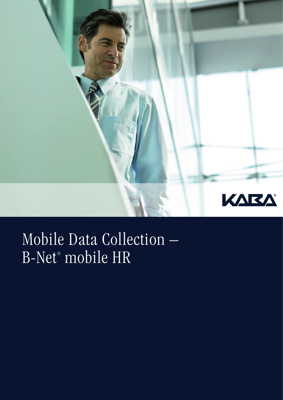

## Mobile Data Collection – B-Net® mobile HR